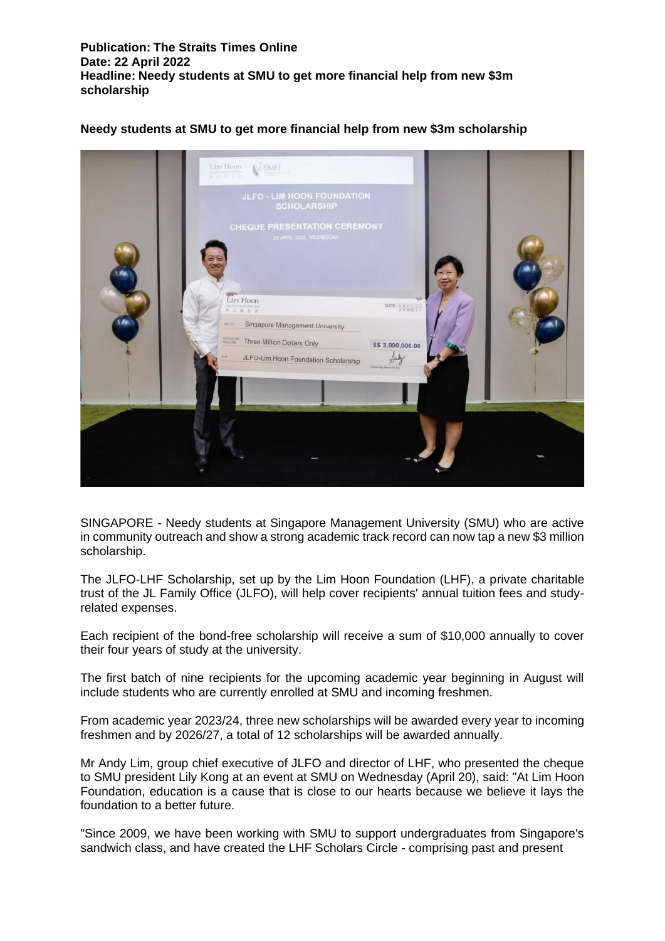**Publication: The Straits Times Online Date: 22 April 2022 Headline: Needy students at SMU to get more financial help from new \$3m scholarship**

## **Needy students at SMU to get more financial help from new \$3m scholarship**



SINGAPORE - Needy students at Singapore Management University (SMU) who are active in community outreach and show a strong academic track record can now tap a new \$3 million scholarship.

The JLFO-LHF Scholarship, set up by the Lim Hoon Foundation (LHF), a private charitable trust of the JL Family Office (JLFO), will help cover recipients' annual tuition fees and studyrelated expenses.

Each recipient of the bond-free scholarship will receive a sum of \$10,000 annually to cover their four years of study at the university.

The first batch of nine recipients for the upcoming academic year beginning in August will include students who are currently enrolled at SMU and incoming freshmen.

From academic year 2023/24, three new scholarships will be awarded every year to incoming freshmen and by 2026/27, a total of 12 scholarships will be awarded annually.

Mr Andy Lim, group chief executive of JLFO and director of LHF, who presented the cheque to SMU president Lily Kong at an event at SMU on Wednesday (April 20), said: "At Lim Hoon Foundation, education is a cause that is close to our hearts because we believe it lays the foundation to a better future.

"Since 2009, we have been working with SMU to support undergraduates from Singapore's sandwich class, and have created the LHF Scholars Circle - comprising past and present